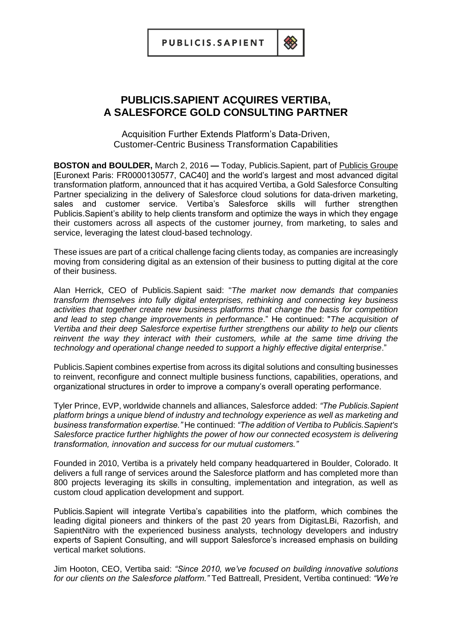PUBLICIS.SAPIENT

## **PUBLICIS.SAPIENT ACQUIRES VERTIBA, A SALESFORCE GOLD CONSULTING PARTNER**

Acquisition Further Extends Platform's Data-Driven, Customer-Centric Business Transformation Capabilities

**BOSTON and BOULDER,** March 2, 2016 **—** Today, Publicis.Sapient, part of [Publicis Groupe](http://www.publicisgroupe.com/) [Euronext Paris: FR0000130577, CAC40] and the world's largest and most advanced digital transformation platform, announced that it has acquired Vertiba, a Gold Salesforce Consulting Partner specializing in the delivery of Salesforce cloud solutions for data-driven marketing, sales and customer service. Vertiba's Salesforce skills will further strengthen Publicis.Sapient's ability to help clients transform and optimize the ways in which they engage their customers across all aspects of the customer journey, from marketing, to sales and service, leveraging the latest cloud-based technology.

These issues are part of a critical challenge facing clients today, as companies are increasingly moving from considering digital as an extension of their business to putting digital at the core of their business.

Alan Herrick, CEO of Publicis.Sapient said: "*The market now demands that companies transform themselves into fully digital enterprises, rethinking and connecting key business activities that together create new business platforms that change the basis for competition and lead to step change improvements in performance*." He continued: "*The acquisition of Vertiba and their deep Salesforce expertise further strengthens our ability to help our clients reinvent the way they interact with their customers, while at the same time driving the technology and operational change needed to support a highly effective digital enterprise*."

Publicis.Sapient combines expertise from across its digital solutions and consulting businesses to reinvent, reconfigure and connect multiple business functions, capabilities, operations, and organizational structures in order to improve a company's overall operating performance.

Tyler Prince, EVP, worldwide channels and alliances, Salesforce added: *"The Publicis.Sapient platform brings a unique blend of industry and technology experience as well as marketing and business transformation expertise."* He continued: *"The addition of Vertiba to Publicis.Sapient's Salesforce practice further highlights the power of how our connected ecosystem is delivering transformation, innovation and success for our mutual customers."*

Founded in 2010, Vertiba is a privately held company headquartered in Boulder, Colorado. It delivers a full range of services around the Salesforce platform and has completed more than 800 projects leveraging its skills in consulting, implementation and integration, as well as custom cloud application development and support.

Publicis.Sapient will integrate Vertiba's capabilities into the platform, which combines the leading digital pioneers and thinkers of the past 20 years from DigitasLBi, Razorfish, and SapientNitro with the experienced business analysts, technology developers and industry experts of Sapient Consulting, and will support Salesforce's increased emphasis on building vertical market solutions.

Jim Hooton, CEO, Vertiba said: *"Since 2010, we've focused on building innovative solutions for our clients on the Salesforce platform."* Ted Battreall, President, Vertiba continued: *"We're*